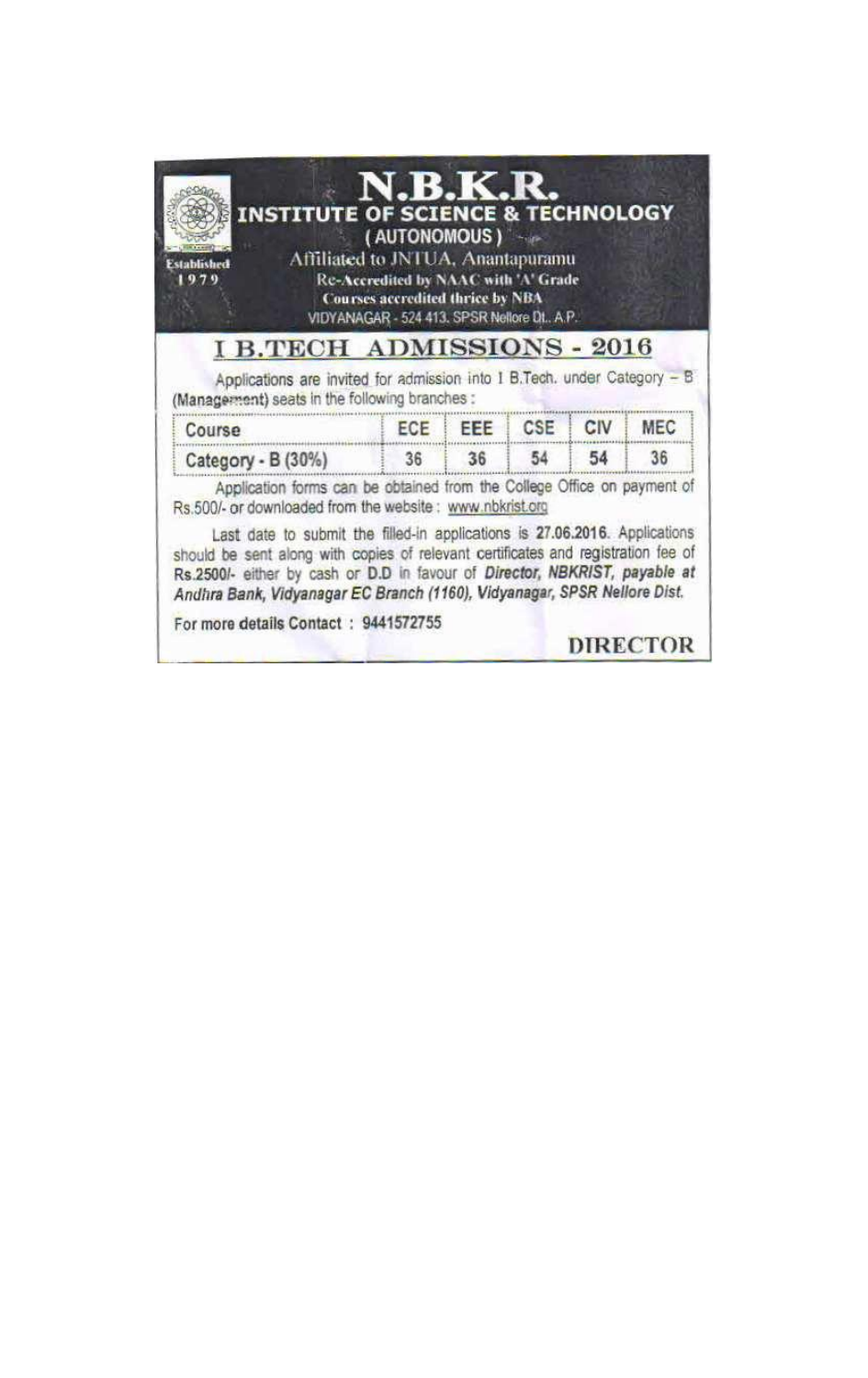| <b>INSTITUTE OF SCIENCE &amp; TECHNOLOGY</b><br>Affiliated to JNTUA, Anantapuramu<br>Fstablished<br>-979                                                                                                                                                                                                                                                                                                                                                                                                  | N.B.K.R.<br>(AUTONOMOUS)<br>Re-Accredited by NAAC with 'A' Grade<br><b>Courses accredited thrice by NBA</b><br>VIDYANAGAR - 524 413, SPSR Nellore Dt., A.P. |                 |    |                 |
|-----------------------------------------------------------------------------------------------------------------------------------------------------------------------------------------------------------------------------------------------------------------------------------------------------------------------------------------------------------------------------------------------------------------------------------------------------------------------------------------------------------|-------------------------------------------------------------------------------------------------------------------------------------------------------------|-----------------|----|-----------------|
| <b>I B.TECH ADMISSIONS - 2016</b><br>Applications are invited for admission into I B.Tech. under Category - B<br>(Management) seats in the following branches :                                                                                                                                                                                                                                                                                                                                           |                                                                                                                                                             |                 |    |                 |
| Course                                                                                                                                                                                                                                                                                                                                                                                                                                                                                                    |                                                                                                                                                             | ECE EEE CSE CIV |    | <b>MEC</b>      |
| Category - $B(30\%)$                                                                                                                                                                                                                                                                                                                                                                                                                                                                                      |                                                                                                                                                             | 36 36 54        | 54 | 36              |
| Application forms can be obtained from the College Office on payment of<br>Rs.500/- or downloaded from the website : www.nbkrist.org<br>Last date to submit the filled-in applications is 27.06.2016. Applications<br>should be sent along with copies of relevant certificates and registration fee of<br>Rs.2500/- either by cash or D.D in favour of Director, NBKRIST, payable at<br>Andhra Bank, Vidyanagar EC Branch (1160), Vidyanagar, SPSR Nellore Dist.<br>For more details Contact: 9441572755 |                                                                                                                                                             |                 |    |                 |
|                                                                                                                                                                                                                                                                                                                                                                                                                                                                                                           |                                                                                                                                                             |                 |    | <b>DIRECTOR</b> |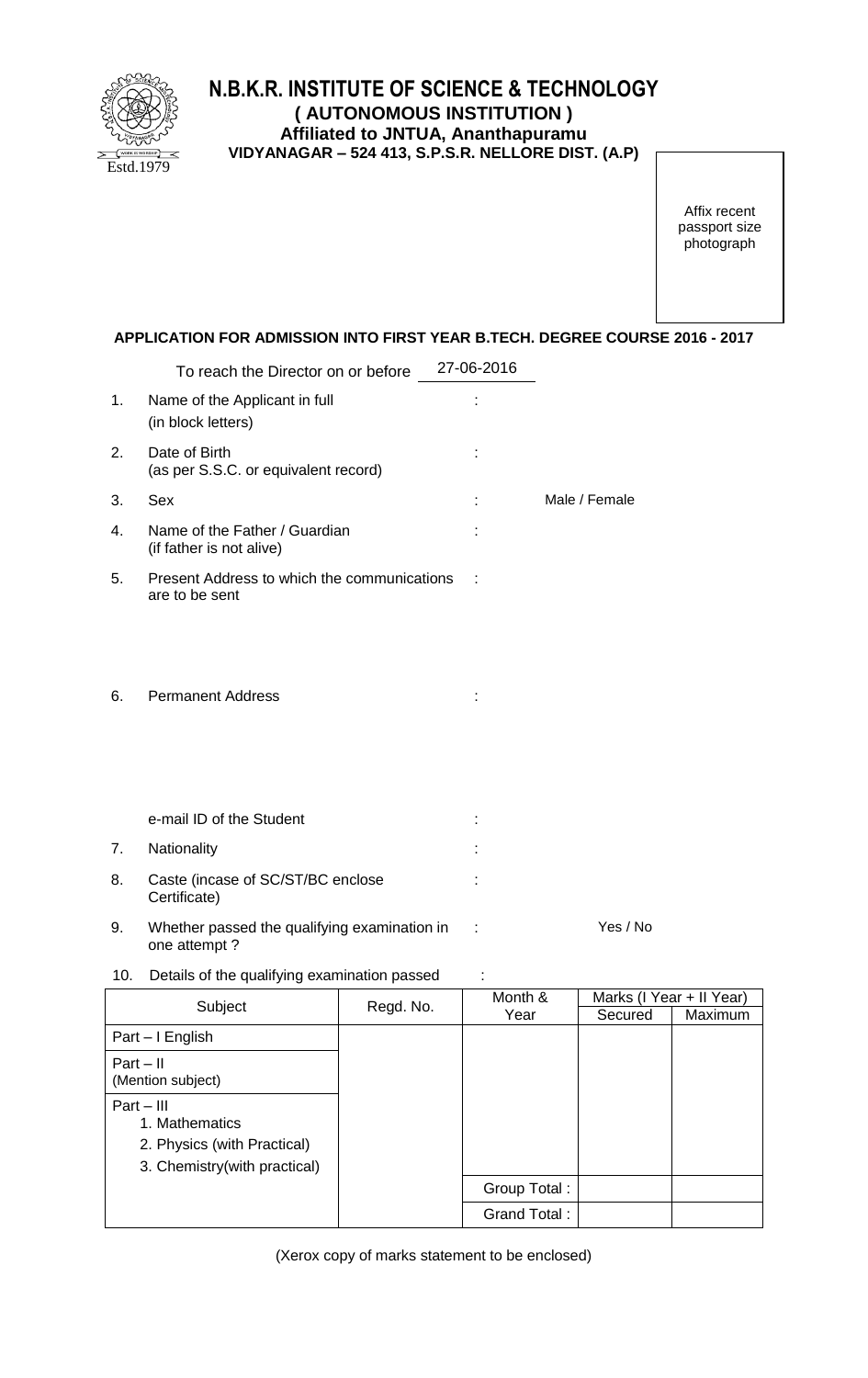

## **N.B.K.R. INSTITUTE OF SCIENCE & TECHNOLOGY ( AUTONOMOUS INSTITUTION ) Affiliated to JNTUA, Ananthapuramu VIDYANAGAR – 524 413, S.P.S.R. NELLORE DIST. (A.P)**

Affix recent passport size photograph

## **APPLICATION FOR ADMISSION INTO FIRST YEAR B.TECH. DEGREE COURSE 2016 - 2017**

|     | To reach the Director on or before                            | 27-06-2016 |               |
|-----|---------------------------------------------------------------|------------|---------------|
| 1.  | Name of the Applicant in full<br>(in block letters)           |            |               |
| 2.  | Date of Birth<br>(as per S.S.C. or equivalent record)         |            |               |
| 3.  | Sex                                                           |            | Male / Female |
| 4.  | Name of the Father / Guardian<br>(if father is not alive)     |            |               |
| 5.  | Present Address to which the communications<br>are to be sent |            |               |
| 6.  | <b>Permanent Address</b>                                      |            |               |
|     | e-mail ID of the Student                                      |            |               |
| 7.  | Nationality                                                   |            |               |
| 8.  | Caste (incase of SC/ST/BC enclose<br>Certificate)             |            |               |
| 9.  | Whether passed the qualifying examination in<br>one attempt?  | ÷          | Yes / No      |
| 10. | Details of the qualifying examination passed                  |            |               |

Subject Regd. No. Month & Year Marks (I Year + II Year) Secured | Maximum Part – I English Part – II (Mention subject) Part – III 1. Mathematics 2. Physics (with Practical) 3. Chemistry(with practical) Group Total : Grand Total :

(Xerox copy of marks statement to be enclosed)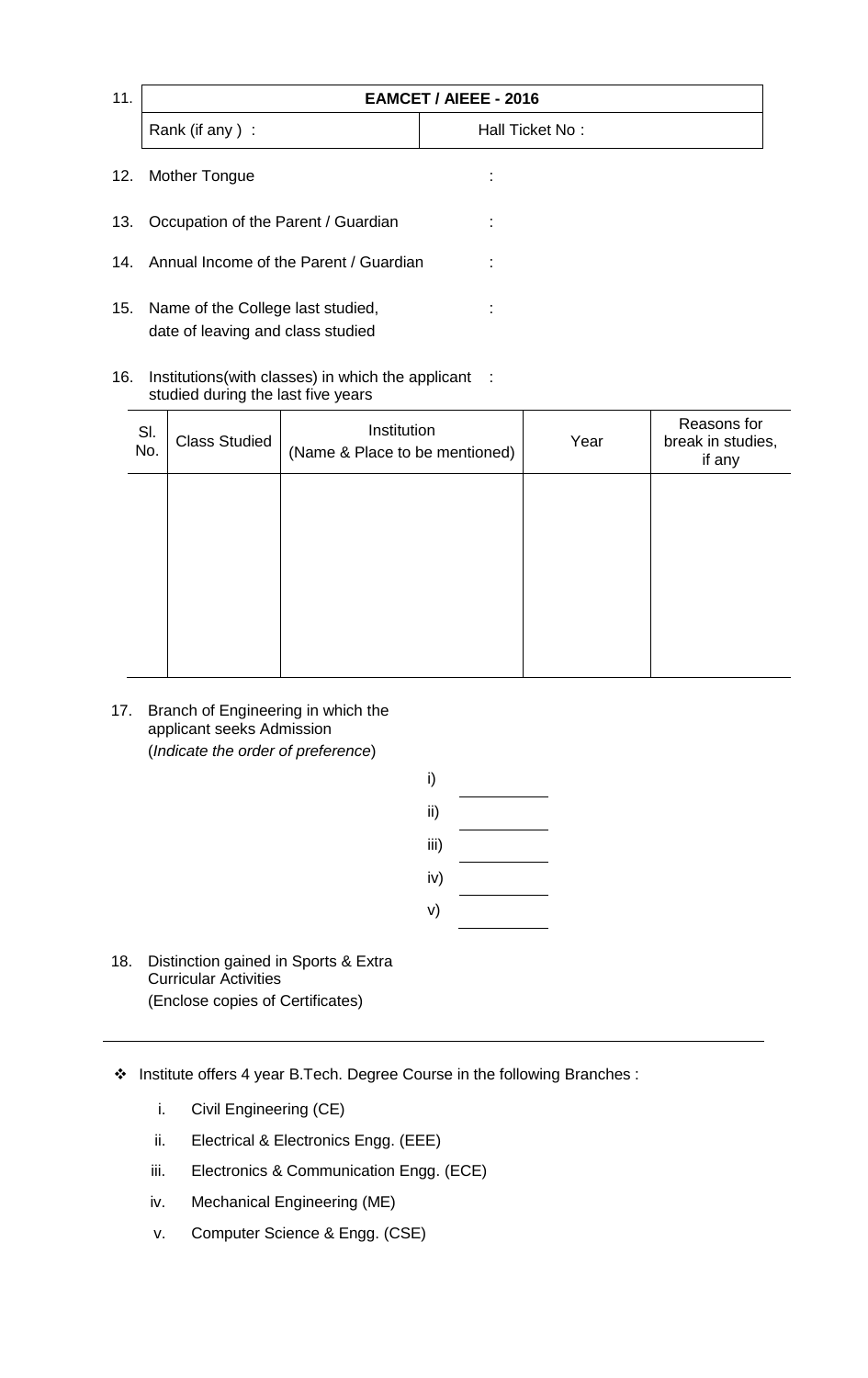| 11. | <b>EAMCET / AIEEE - 2016</b>               |                 |  |  |
|-----|--------------------------------------------|-----------------|--|--|
|     | Rank (if any):                             | Hall Ticket No: |  |  |
| 12. | Mother Tongue                              |                 |  |  |
|     | 13. Occupation of the Parent / Guardian    |                 |  |  |
|     | 14. Annual Income of the Parent / Guardian |                 |  |  |

- 15. Name of the College last studied, date of leaving and class studied
- 16. Institutions(with classes) in which the applicant : studied during the last five years

| SI.<br>No. | <b>Class Studied</b> | Institution<br>(Name & Place to be mentioned) | Year | Reasons for<br>break in studies,<br>if any |
|------------|----------------------|-----------------------------------------------|------|--------------------------------------------|
|            |                      |                                               |      |                                            |
|            |                      |                                               |      |                                            |
|            |                      |                                               |      |                                            |
|            |                      |                                               |      |                                            |

:

17. Branch of Engineering in which the applicant seeks Admission (*Indicate the order of preference*)

| i)   |  |
|------|--|
| ii)  |  |
| iii) |  |
| iv)  |  |
| v)   |  |

- 18. Distinction gained in Sports & Extra Curricular Activities (Enclose copies of Certificates)
- Institute offers 4 year B.Tech. Degree Course in the following Branches :
	- i. Civil Engineering (CE)
	- ii. Electrical & Electronics Engg. (EEE)
	- iii. Electronics & Communication Engg. (ECE)
	- iv. Mechanical Engineering (ME)
	- v. Computer Science & Engg. (CSE)